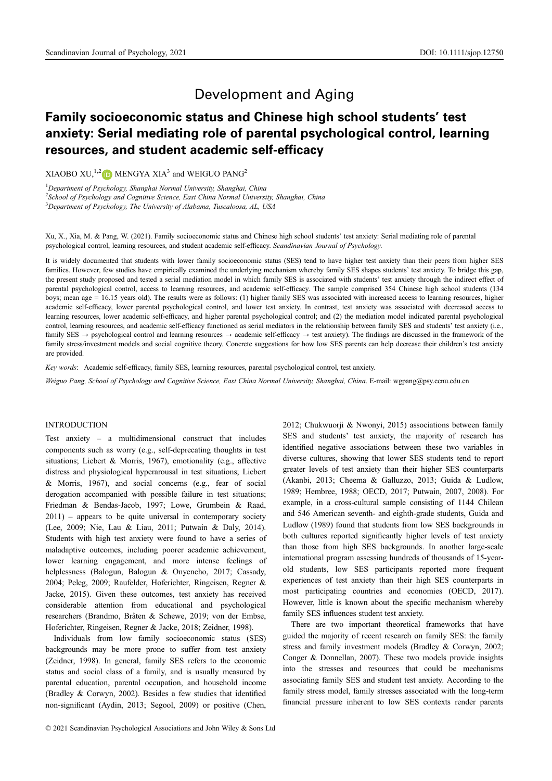# Development and Aging

# Family socioeconomic status and Chinese high school students' test anxiety: Serial mediating role of parental psychological control, learning resources, and student academic self-efficacy

XIAOBO XU,<sup>1,[2](https://orcid.org/0000-0002-7095-6134)</sup> D MENGYA XIA<sup>3</sup> and WEIGUO PANG<sup>2</sup>

<sup>1</sup>Department of Psychology, Shanghai Normal University, Shanghai, China <sup>2</sup> School of Psychology and Cognitive Science, East China Normal University, Shanghai, China <sup>3</sup>Department of Psychology, The University of Alabama, Tuscaloosa, AL, USA

Xu, X., Xia, M. & Pang, W. (2021). Family socioeconomic status and Chinese high school students' test anxiety: Serial mediating role of parental psychological control, learning resources, and student academic self-efficacy. Scandinavian Journal of Psychology.

It is widely documented that students with lower family socioeconomic status (SES) tend to have higher test anxiety than their peers from higher SES families. However, few studies have empirically examined the underlying mechanism whereby family SES shapes students' test anxiety. To bridge this gap, the present study proposed and tested a serial mediation model in which family SES is associated with students' test anxiety through the indirect effect of parental psychological control, access to learning resources, and academic self-efficacy. The sample comprised 354 Chinese high school students (134 boys; mean age = 16.15 years old). The results were as follows: (1) higher family SES was associated with increased access to learning resources, higher academic self-efficacy, lower parental psychological control, and lower test anxiety. In contrast, test anxiety was associated with decreased access to learning resources, lower academic self-efficacy, and higher parental psychological control; and (2) the mediation model indicated parental psychological control, learning resources, and academic self-efficacy functioned as serial mediators in the relationship between family SES and students' test anxiety (i.e., family SES  $\rightarrow$  psychological control and learning resources  $\rightarrow$  academic self-efficacy  $\rightarrow$  test anxiety). The findings are discussed in the framework of the family stress/investment models and social cognitive theory. Concrete suggestions for how low SES parents can help decrease their children's test anxiety are provided.

Key words: Academic self-efficacy, family SES, learning resources, parental psychological control, test anxiety.

Weiguo Pang, School of Psychology and Cognitive Science, East China Normal University, Shanghai, China. E-mail: [wgpang@psy.ecnu.edu.cn](mailto:wgpang@psy.ecnu.edu.cn)

# INTRODUCTION

Test anxiety – a multidimensional construct that includes components such as worry (e.g., self-deprecating thoughts in test situations; Liebert & Morris, 1967), emotionality (e.g., affective distress and physiological hyperarousal in test situations; Liebert & Morris, 1967), and social concerns (e.g., fear of social derogation accompanied with possible failure in test situations; Friedman & Bendas-Jacob, 1997; Lowe, Grumbein & Raad, 2011) – appears to be quite universal in contemporary society (Lee, 2009; Nie, Lau & Liau, 2011; Putwain & Daly, 2014). Students with high test anxiety were found to have a series of maladaptive outcomes, including poorer academic achievement, lower learning engagement, and more intense feelings of helplessness (Balogun, Balogun & Onyencho, 2017; Cassady, 2004; Peleg, 2009; Raufelder, Hoferichter, Ringeisen, Regner & Jacke, 2015). Given these outcomes, test anxiety has received considerable attention from educational and psychological researchers (Brandmo, Braten & Schewe, 2019; von der Embse, Hoferichter, Ringeisen, Regner & Jacke, 2018; Zeidner, 1998).

Individuals from low family socioeconomic status (SES) backgrounds may be more prone to suffer from test anxiety (Zeidner, 1998). In general, family SES refers to the economic status and social class of a family, and is usually measured by parental education, parental occupation, and household income (Bradley & Corwyn, 2002). Besides a few studies that identified non-significant (Aydin, 2013; Segool, 2009) or positive (Chen, 2012; Chukwuorji & Nwonyi, 2015) associations between family SES and students' test anxiety, the majority of research has identified negative associations between these two variables in diverse cultures, showing that lower SES students tend to report greater levels of test anxiety than their higher SES counterparts (Akanbi, 2013; Cheema & Galluzzo, 2013; Guida & Ludlow, 1989; Hembree, 1988; OECD, 2017; Putwain, 2007, 2008). For example, in a cross-cultural sample consisting of 1144 Chilean and 546 American seventh- and eighth-grade students, Guida and Ludlow (1989) found that students from low SES backgrounds in both cultures reported significantly higher levels of test anxiety than those from high SES backgrounds. In another large-scale international program assessing hundreds of thousands of 15-yearold students, low SES participants reported more frequent experiences of test anxiety than their high SES counterparts in most participating countries and economies (OECD, 2017). However, little is known about the specific mechanism whereby family SES influences student test anxiety.

There are two important theoretical frameworks that have guided the majority of recent research on family SES: the family stress and family investment models (Bradley & Corwyn, 2002; Conger & Donnellan, 2007). These two models provide insights into the stresses and resources that could be mechanisms associating family SES and student test anxiety. According to the family stress model, family stresses associated with the long-term financial pressure inherent to low SES contexts render parents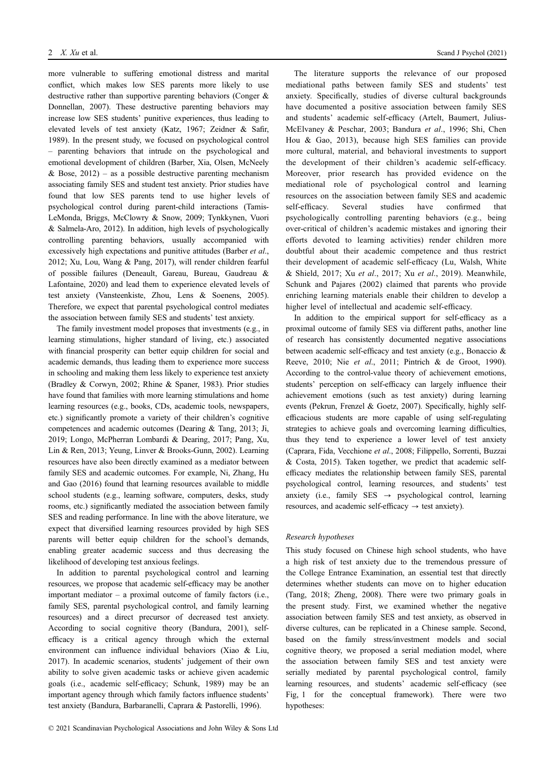more vulnerable to suffering emotional distress and marital conflict, which makes low SES parents more likely to use destructive rather than supportive parenting behaviors (Conger & Donnellan, 2007). These destructive parenting behaviors may increase low SES students' punitive experiences, thus leading to elevated levels of test anxiety (Katz, 1967; Zeidner & Safir, 1989). In the present study, we focused on psychological control – parenting behaviors that intrude on the psychological and emotional development of children (Barber, Xia, Olsen, McNeely & Bose,  $2012$ ) – as a possible destructive parenting mechanism associating family SES and student test anxiety. Prior studies have found that low SES parents tend to use higher levels of psychological control during parent-child interactions (Tamis-LeMonda, Briggs, McClowry & Snow, 2009; Tynkkynen, Vuori & Salmela-Aro, 2012). In addition, high levels of psychologically controlling parenting behaviors, usually accompanied with excessively high expectations and punitive attitudes (Barber et al., 2012; Xu, Lou, Wang & Pang, 2017), will render children fearful of possible failures (Deneault, Gareau, Bureau, Gaudreau & Lafontaine, 2020) and lead them to experience elevated levels of test anxiety (Vansteenkiste, Zhou, Lens & Soenens, 2005). Therefore, we expect that parental psychological control mediates the association between family SES and students' test anxiety.

The family investment model proposes that investments (e.g., in learning stimulations, higher standard of living, etc.) associated with financial prosperity can better equip children for social and academic demands, thus leading them to experience more success in schooling and making them less likely to experience test anxiety (Bradley & Corwyn, 2002; Rhine & Spaner, 1983). Prior studies have found that families with more learning stimulations and home learning resources (e.g., books, CDs, academic tools, newspapers, etc.) significantly promote a variety of their children's cognitive competences and academic outcomes (Dearing & Tang, 2013; Ji, 2019; Longo, McPherran Lombardi & Dearing, 2017; Pang, Xu, Lin & Ren, 2013; Yeung, Linver & Brooks-Gunn, 2002). Learning resources have also been directly examined as a mediator between family SES and academic outcomes. For example, Ni, Zhang, Hu and Gao (2016) found that learning resources available to middle school students (e.g., learning software, computers, desks, study rooms, etc.) significantly mediated the association between family SES and reading performance. In line with the above literature, we expect that diversified learning resources provided by high SES parents will better equip children for the school's demands, enabling greater academic success and thus decreasing the likelihood of developing test anxious feelings.

In addition to parental psychological control and learning resources, we propose that academic self-efficacy may be another important mediator – a proximal outcome of family factors (i.e., family SES, parental psychological control, and family learning resources) and a direct precursor of decreased test anxiety. According to social cognitive theory (Bandura, 2001), selfefficacy is a critical agency through which the external environment can influence individual behaviors (Xiao & Liu, 2017). In academic scenarios, students' judgement of their own ability to solve given academic tasks or achieve given academic goals (i.e., academic self-efficacy; Schunk, 1989) may be an important agency through which family factors influence students' test anxiety (Bandura, Barbaranelli, Caprara & Pastorelli, 1996).

The literature supports the relevance of our proposed mediational paths between family SES and students' test anxiety. Specifically, studies of diverse cultural backgrounds have documented a positive association between family SES and students' academic self-efficacy (Artelt, Baumert, Julius-McElvaney & Peschar, 2003; Bandura et al., 1996; Shi, Chen Hou & Gao, 2013), because high SES families can provide more cultural, material, and behavioral investments to support the development of their children's academic self-efficacy. Moreover, prior research has provided evidence on the mediational role of psychological control and learning resources on the association between family SES and academic self-efficacy. Several studies have confirmed that psychologically controlling parenting behaviors (e.g., being over-critical of children's academic mistakes and ignoring their efforts devoted to learning activities) render children more doubtful about their academic competence and thus restrict their development of academic self-efficacy (Lu, Walsh, White & Shield, 2017; Xu et al., 2017; Xu et al., 2019). Meanwhile, Schunk and Pajares (2002) claimed that parents who provide enriching learning materials enable their children to develop a higher level of intellectual and academic self-efficacy.

In addition to the empirical support for self-efficacy as a proximal outcome of family SES via different paths, another line of research has consistently documented negative associations between academic self-efficacy and test anxiety (e.g., Bonaccio & Reeve, 2010; Nie et al., 2011; Pintrich & de Groot, 1990). According to the control-value theory of achievement emotions, students' perception on self-efficacy can largely influence their achievement emotions (such as test anxiety) during learning events (Pekrun, Frenzel & Goetz, 2007). Specifically, highly selfefficacious students are more capable of using self-regulating strategies to achieve goals and overcoming learning difficulties, thus they tend to experience a lower level of test anxiety (Caprara, Fida, Vecchione et al., 2008; Filippello, Sorrenti, Buzzai & Costa, 2015). Taken together, we predict that academic selfefficacy mediates the relationship between family SES, parental psychological control, learning resources, and students' test anxiety (i.e., family SES  $\rightarrow$  psychological control, learning resources, and academic self-efficacy  $\rightarrow$  test anxiety).

## Research hypotheses

This study focused on Chinese high school students, who have a high risk of test anxiety due to the tremendous pressure of the College Entrance Examination, an essential test that directly determines whether students can move on to higher education (Tang, 2018; Zheng, 2008). There were two primary goals in the present study. First, we examined whether the negative association between family SES and test anxiety, as observed in diverse cultures, can be replicated in a Chinese sample. Second, based on the family stress/investment models and social cognitive theory, we proposed a serial mediation model, where the association between family SES and test anxiety were serially mediated by parental psychological control, family learning resources, and students' academic self-efficacy (see Fig, 1 for the conceptual framework). There were two hypotheses: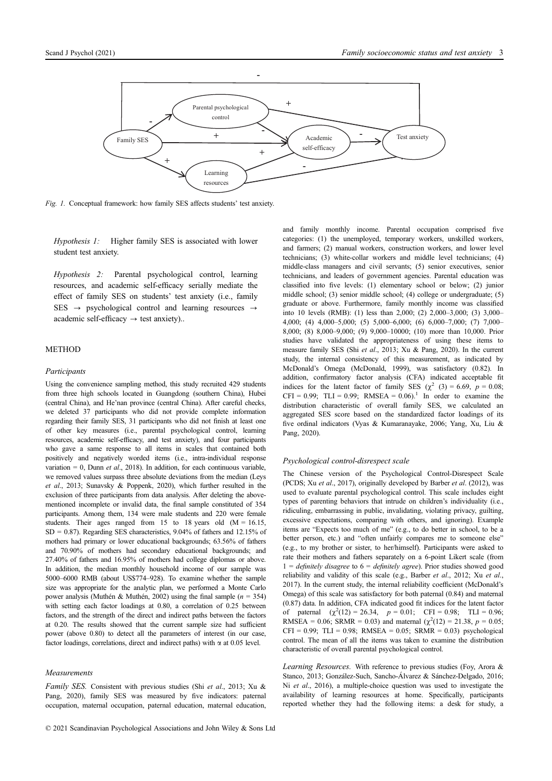

Fig. 1. Conceptual framework: how family SES affects students' test anxiety.

Hypothesis 1: Higher family SES is associated with lower student test anxiety.

Hypothesis 2: Parental psychological control, learning resources, and academic self-efficacy serially mediate the effect of family SES on students' test anxiety (i.e., family SES  $\rightarrow$  psychological control and learning resources  $\rightarrow$ academic self-efficacy  $\rightarrow$  test anxiety)..

# METHOD

#### Participants

Using the convenience sampling method, this study recruited 429 students from three high schools located in Guangdong (southern China), Hubei (central China), and He'nan province (central China). After careful checks, we deleted 37 participants who did not provide complete information regarding their family SES, 31 participants who did not finish at least one of other key measures (i.e., parental psychological control, learning resources, academic self-efficacy, and test anxiety), and four participants who gave a same response to all items in scales that contained both positively and negatively worded items (i.e., intra-individual response variation = 0, Dunn et al., 2018). In addition, for each continuous variable, we removed values surpass three absolute deviations from the median (Leys et al., 2013; Sunavsky & Poppenk, 2020), which further resulted in the exclusion of three participants from data analysis. After deleting the abovementioned incomplete or invalid data, the final sample constituted of 354 participants. Among them, 134 were male students and 220 were female students. Their ages ranged from 15 to 18 years old  $(M = 16.15,$ SD = 0.87). Regarding SES characteristics, 9.04% of fathers and 12.15% of mothers had primary or lower educational backgrounds; 63.56% of fathers and 70.90% of mothers had secondary educational backgrounds; and 27.40% of fathers and 16.95% of mothers had college diplomas or above. In addition, the median monthly household income of our sample was 5000–6000 RMB (about US\$774–928). To examine whether the sample size was appropriate for the analytic plan, we performed a Monte Carlo power analysis (Muthén & Muthén, 2002) using the final sample ( $n = 354$ ) with setting each factor loadings at 0.80, a correlation of 0.25 between factors, and the strength of the direct and indirect paths between the factors at 0.20. The results showed that the current sample size had sufficient power (above 0.80) to detect all the parameters of interest (in our case, factor loadings, correlations, direct and indirect paths) with  $\alpha$  at 0.05 level.

#### Measurements

Family SES. Consistent with previous studies (Shi et al., 2013; Xu & Pang, 2020), family SES was measured by five indicators: paternal occupation, maternal occupation, paternal education, maternal education, and family monthly income. Parental occupation comprised five categories: (1) the unemployed, temporary workers, unskilled workers, and farmers; (2) manual workers, construction workers, and lower level technicians; (3) white-collar workers and middle level technicians; (4) middle-class managers and civil servants; (5) senior executives, senior technicians, and leaders of government agencies. Parental education was classified into five levels: (1) elementary school or below; (2) junior middle school; (3) senior middle school; (4) college or undergraduate; (5) graduate or above. Furthermore, family monthly income was classified into 10 levels (RMB): (1) less than 2,000; (2) 2,000–3,000; (3) 3,000– 4,000; (4) 4,000–5,000; (5) 5,000–6,000; (6) 6,000–7,000; (7) 7,000– 8,000; (8) 8,000–9,000; (9) 9,000–10000; (10) more than 10,000. Prior studies have validated the appropriateness of using these items to measure family SES (Shi et al., 2013; Xu & Pang, 2020). In the current study, the internal consistency of this measurement, as indicated by McDonald's Omega (McDonald, 1999), was satisfactory (0.82). In addition, confirmatory factor analysis (CFA) indicated acceptable fit indices for the latent factor of family SES ( $\chi^2$  (3) = 6.69, p = 0.08;  $CFI = 0.99$ ;  $TLI = 0.99$ ;  $RMSEA = 0.06$ .<sup>1</sup> In order to examine the distribution characteristic of overall family SES, we calculated an aggregated SES score based on the standardized factor loadings of its five ordinal indicators (Vyas & Kumaranayake, 2006; Yang, Xu, Liu & Pang, 2020).

## Psychological control-disrespect scale

The Chinese version of the Psychological Control-Disrespect Scale (PCDS; Xu et al., 2017), originally developed by Barber et al. (2012), was used to evaluate parental psychological control. This scale includes eight types of parenting behaviors that intrude on children's individuality (i.e., ridiculing, embarrassing in public, invalidating, violating privacy, guilting, excessive expectations, comparing with others, and ignoring). Example items are "Expects too much of me" (e.g., to do better in school, to be a better person, etc.) and "often unfairly compares me to someone else" (e.g., to my brother or sister, to her/himself). Participants were asked to rate their mothers and fathers separately on a 6-point Likert scale (from  $1 =$  definitely disagree to  $6 =$  definitely agree). Prior studies showed good reliability and validity of this scale (e.g., Barber et al., 2012; Xu et al., 2017). In the current study, the internal reliability coefficient (McDonald's Omega) of this scale was satisfactory for both paternal (0.84) and maternal (0.87) data. In addition, CFA indicated good fit indices for the latent factor of paternal  $(\chi^2(12) = 26.34, p = 0.01; CFI = 0.98; TLI = 0.96;$ RMSEA = 0.06; SRMR = 0.03) and maternal  $(\chi^2(12) = 21.38, p = 0.05;$  $CFI = 0.99$ ;  $TLI = 0.98$ ;  $RMSEA = 0.05$ ;  $SRMR = 0.03$ ) psychological control. The mean of all the items was taken to examine the distribution characteristic of overall parental psychological control.

Learning Resources. With reference to previous studies (Foy, Arora & Stanco, 2013; González-Such, Sancho-Álvarez & Sánchez-Delgado, 2016; Ni et al., 2016), a multiple-choice question was used to investigate the availability of learning resources at home. Specifically, participants reported whether they had the following items: a desk for study, a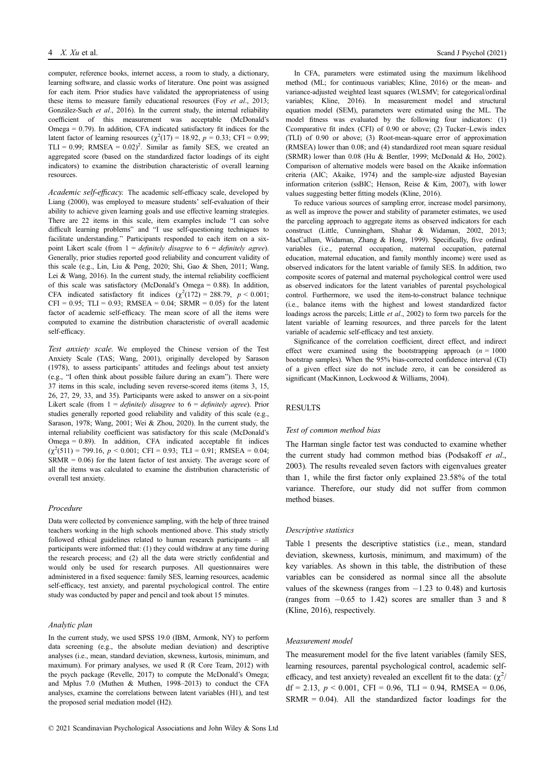computer, reference books, internet access, a room to study, a dictionary, learning software, and classic works of literature. One point was assigned for each item. Prior studies have validated the appropriateness of using these items to measure family educational resources (Foy et al., 2013; González-Such et al., 2016). In the current study, the internal reliability coefficient of this measurement was acceptable (McDonald's Omega = 0.79). In addition, CFA indicated satisfactory fit indices for the latent factor of learning resources ( $\chi^2(17) = 18.92$ ,  $p = 0.33$ ; CFI = 0.99; TLI = 0.99; RMSEA =  $0.02$ <sup>2</sup>. Similar as family SES, we created an aggregated score (based on the standardized factor loadings of its eight indicators) to examine the distribution characteristic of overall learning resources.

Academic self-efficacy. The academic self-efficacy scale, developed by Liang (2000), was employed to measure students' self-evaluation of their ability to achieve given learning goals and use effective learning strategies. There are 22 items in this scale, item examples include "I can solve difficult learning problems" and "I use self-questioning techniques to facilitate understanding." Participants responded to each item on a sixpoint Likert scale (from  $1 = \text{definitely disagree to } 6 = \text{definitely agree}$ ). Generally, prior studies reported good reliability and concurrent validity of this scale (e.g., Lin, Liu & Peng, 2020; Shi, Gao & Shen, 2011; Wang, Lei & Wang, 2016). In the current study, the internal reliability coefficient of this scale was satisfactory (McDonald's Omega = 0.88). In addition, CFA indicated satisfactory fit indices  $(\chi^2(172) = 288.79, p < 0.001;$  $CFI = 0.95$ ;  $TLI = 0.93$ ;  $RMSEA = 0.04$ ;  $SRMR = 0.05$ ) for the latent factor of academic self-efficacy. The mean score of all the items were computed to examine the distribution characteristic of overall academic self-efficacy.

Test anxiety scale. We employed the Chinese version of the Test Anxiety Scale (TAS; Wang, 2001), originally developed by Sarason (1978), to assess participants' attitudes and feelings about test anxiety (e.g., "I often think about possible failure during an exam"). There were 37 items in this scale, including seven reverse-scored items (items 3, 15, 26, 27, 29, 33, and 35). Participants were asked to answer on a six-point Likert scale (from  $1 = \text{definitely disagree to } 6 = \text{definitely agree}$ ). Prior studies generally reported good reliability and validity of this scale (e.g., Sarason, 1978; Wang, 2001; Wei & Zhou, 2020). In the current study, the internal reliability coefficient was satisfactory for this scale (McDonald's Omega = 0.89). In addition, CFA indicated acceptable fit indices  $(\chi^2(511) = 799.16, p < 0.001;$  CFI = 0.93; TLI = 0.91; RMSEA = 0.04;  $SRMR = 0.06$ ) for the latent factor of test anxiety. The average score of all the items was calculated to examine the distribution characteristic of overall test anxiety.

#### Procedure

Data were collected by convenience sampling, with the help of three trained teachers working in the high schools mentioned above. This study strictly followed ethical guidelines related to human research participants – all participants were informed that: (1) they could withdraw at any time during the research process; and (2) all the data were strictly confidential and would only be used for research purposes. All questionnaires were administered in a fixed sequence: family SES, learning resources, academic self-efficacy, test anxiety, and parental psychological control. The entire study was conducted by paper and pencil and took about 15 minutes.

#### Analytic plan

In the current study, we used SPSS 19.0 (IBM, Armonk, NY) to perform data screening (e.g., the absolute median deviation) and descriptive analyses (i.e., mean, standard deviation, skewness, kurtosis, minimum, and maximum). For primary analyses, we used R (R Core Team, 2012) with the psych package (Revelle, 2017) to compute the McDonald's Omega; and Mplus 7.0 (Muthen & Muthen, 1998–2013) to conduct the CFA analyses, examine the correlations between latent variables (H1), and test the proposed serial mediation model (H2).

In CFA, parameters were estimated using the maximum likelihood method (ML; for continuous variables; Kline, 2016) or the mean- and variance-adjusted weighted least squares (WLSMV; for categorical/ordinal variables; Kline, 2016). In measurement model and structural equation model (SEM), parameters were estimated using the ML. The model fitness was evaluated by the following four indicators: (1) Ccomparative fit index (CFI) of 0.90 or above; (2) Tucker–Lewis index (TLI) of 0.90 or above; (3) Root-mean-square error of approximation (RMSEA) lower than 0.08; and (4) standardized root mean square residual (SRMR) lower than 0.08 (Hu & Bentler, 1999; McDonald & Ho, 2002). Comparison of alternative models were based on the Akaike information criteria (AIC; Akaike, 1974) and the sample-size adjusted Bayesian information criterion (ssBIC; Henson, Reise & Kim, 2007), with lower values suggesting better fitting models (Kline, 2016).

To reduce various sources of sampling error, increase model parsimony, as well as improve the power and stability of parameter estimates, we used the parceling approach to aggregate items as observed indicators for each construct (Little, Cunningham, Shahar & Widaman, 2002, 2013; MacCallum, Widaman, Zhang & Hong, 1999). Specifically, five ordinal variables (i.e., paternal occupation, maternal occupation, paternal education, maternal education, and family monthly income) were used as observed indicators for the latent variable of family SES. In addition, two composite scores of paternal and maternal psychological control were used as observed indicators for the latent variables of parental psychological control. Furthermore, we used the item-to-construct balance technique (i.e., balance items with the highest and lowest standardized factor loadings across the parcels; Little *et al.*, 2002) to form two parcels for the latent variable of learning resources, and three parcels for the latent variable of academic self-efficacy and test anxiety.

Significance of the correlation coefficient, direct effect, and indirect effect were examined using the bootstrapping approach  $(n = 1000$ bootstrap samples). When the 95% bias-corrected confidence interval (CI) of a given effect size do not include zero, it can be considered as significant (MacKinnon, Lockwood & Williams, 2004).

#### RESULTS

## Test of common method bias

The Harman single factor test was conducted to examine whether the current study had common method bias (Podsakoff et al., 2003). The results revealed seven factors with eigenvalues greater than 1, while the first factor only explained 23.58% of the total variance. Therefore, our study did not suffer from common method biases.

#### Descriptive statistics

Table 1 presents the descriptive statistics (i.e., mean, standard deviation, skewness, kurtosis, minimum, and maximum) of the key variables. As shown in this table, the distribution of these variables can be considered as normal since all the absolute values of the skewness (ranges from  $-1.23$  to 0.48) and kurtosis (ranges from  $-0.65$  to 1.42) scores are smaller than 3 and 8 (Kline, 2016), respectively.

#### Measurement model

The measurement model for the five latent variables (family SES, learning resources, parental psychological control, academic selfefficacy, and test anxiety) revealed an excellent fit to the data:  $(\chi^2)$  $df = 2.13$ ,  $p \le 0.001$ , CFI = 0.96, TLI = 0.94, RMSEA = 0.06,  $SRMR = 0.04$ ). All the standardized factor loadings for the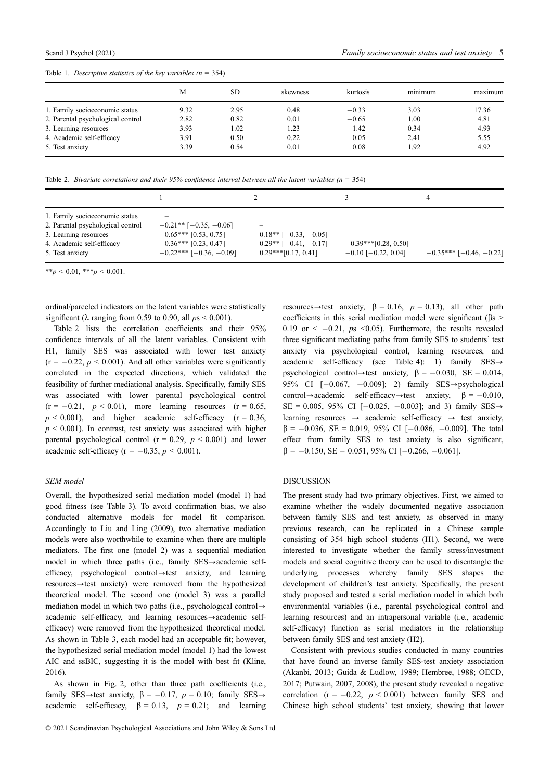|  | Table 1. Descriptive statistics of the key variables $(n = 354)$ |  |  |  |  |  |
|--|------------------------------------------------------------------|--|--|--|--|--|
|--|------------------------------------------------------------------|--|--|--|--|--|

|                                   | M    | SD   | skewness | kurtosis | $\cdot$ $\cdot$<br>minimum | maximum |
|-----------------------------------|------|------|----------|----------|----------------------------|---------|
| 1. Family socioeconomic status    | 9.32 | 2.95 | 0.48     | $-0.33$  | 3.03                       | 17.36   |
| 2. Parental psychological control | 2.82 | 0.82 | 0.01     | $-0.65$  | 1.00                       | 4.81    |
| 3. Learning resources             | 3.93 | .02  | $-1.23$  | 1.42     | 0.34                       | 4.93    |
| 4. Academic self-efficacy         | 3.91 | 0.50 | 0.22     | $-0.05$  | 2.41                       | 5.55    |
| 5. Test anxiety                   | 3.39 | 0.54 | 0.01     | 0.08     | 1.92                       | 4.92    |

Table 2. Bivariate correlations and their 95% confidence interval between all the latent variables ( $n = 354$ )

| 1. Family socioeconomic status<br>2. Parental psychological control<br>3. Learning resources<br>4. Academic self-efficacy<br>5. Test anxiety | $\overline{\phantom{a}}$<br>$-0.21**$ [-0.35, -0.06]<br>$0.65***$ [0.53, 0.75]<br>$0.36***$ [0.23, 0.47]<br>$-0.22$ *** [ $-0.36, -0.09$ ] | $-0.18**$ [ $-0.33, -0.05$ ]<br>$-0.29**$ [ $-0.41$ , $-0.17$ ]<br>$0.29***[0.17, 0.41]$ | $\overline{\phantom{a}}$<br>$0.39***[0.28, 0.50]$<br>$-0.10$ [ $-0.22$ , 0.04] | $\overline{\phantom{a}}$<br>$-0.35***$ [-0.46, -0.22] |
|----------------------------------------------------------------------------------------------------------------------------------------------|--------------------------------------------------------------------------------------------------------------------------------------------|------------------------------------------------------------------------------------------|--------------------------------------------------------------------------------|-------------------------------------------------------|

\*\*p < 0.01, \*\*\*p < 0.001.

ordinal/parceled indicators on the latent variables were statistically significant ( $\lambda$  ranging from 0.59 to 0.90, all  $ps < 0.001$ ).

Table 2 lists the correlation coefficients and their 95% confidence intervals of all the latent variables. Consistent with H1, family SES was associated with lower test anxiety  $(r = -0.22, p < 0.001)$ . And all other variables were significantly correlated in the expected directions, which validated the feasibility of further mediational analysis. Specifically, family SES was associated with lower parental psychological control  $(r = -0.21, p \le 0.01)$ , more learning resources  $(r = 0.65,$  $p < 0.001$ ), and higher academic self-efficacy (r = 0.36,  $p \le 0.001$ ). In contrast, test anxiety was associated with higher parental psychological control ( $r = 0.29$ ,  $p < 0.001$ ) and lower academic self-efficacy ( $r = -0.35$ ,  $p < 0.001$ ).

# SEM model

Overall, the hypothesized serial mediation model (model 1) had good fitness (see Table 3). To avoid confirmation bias, we also conducted alternative models for model fit comparison. Accordingly to Liu and Ling (2009), two alternative mediation models were also worthwhile to examine when there are multiple mediators. The first one (model 2) was a sequential mediation model in which three paths (i.e., family  $SES \rightarrow$ academic selfefficacy, psychological control-test anxiety, and learning  $resources \rightarrow test$  anxiety) were removed from the hypothesized theoretical model. The second one (model 3) was a parallel mediation model in which two paths (i.e., psychological control $\rightarrow$ academic self-efficacy, and learning resources $\rightarrow$ academic selfefficacy) were removed from the hypothesized theoretical model. As shown in Table 3, each model had an acceptable fit; however, the hypothesized serial mediation model (model 1) had the lowest AIC and ssBIC, suggesting it is the model with best fit (Kline, 2016).

As shown in Fig. 2, other than three path coefficients (i.e., family SES $\rightarrow$ test anxiety,  $\beta = -0.17$ ,  $p = 0.10$ ; family SES $\rightarrow$ academic self-efficacy,  $\beta = 0.13$ ,  $p = 0.21$ ; and learning

resources $\rightarrow$ test anxiety,  $\beta = 0.16$ ,  $p = 0.13$ ), all other path coefficients in this serial mediation model were significant ( $\beta$ s > 0.19 or  $\leq -0.21$ ,  $ps \leq 0.05$ ). Furthermore, the results revealed three significant mediating paths from family SES to students' test anxiety via psychological control, learning resources, and academic self-efficacy (see Table 4): 1) family  $SES \rightarrow$ psychological control $\rightarrow$ test anxiety,  $\beta = -0.030$ , SE = 0.014, 95% CI  $[-0.067, -0.009]$ ; 2) family SES $\rightarrow$ psychological control  $\rightarrow$  academic self-efficacy $\rightarrow$ test anxiety,  $\beta = -0.010$ ,  $SE = 0.005$ , 95% CI  $[-0.025, -0.003]$ ; and 3) family  $SES \rightarrow$ learning resources  $\rightarrow$  academic self-efficacy  $\rightarrow$  test anxiety,  $\beta = -0.036$ , SE = 0.019, 95% CI [-0.086, -0.009]. The total effect from family SES to test anxiety is also significant,  $\beta = -0.150$ , SE = 0.051, 95% CI [-0.266, -0.061].

## DISCUSSION

The present study had two primary objectives. First, we aimed to examine whether the widely documented negative association between family SES and test anxiety, as observed in many previous research, can be replicated in a Chinese sample consisting of 354 high school students (H1). Second, we were interested to investigate whether the family stress/investment models and social cognitive theory can be used to disentangle the underlying processes whereby family SES shapes the development of children's test anxiety. Specifically, the present study proposed and tested a serial mediation model in which both environmental variables (i.e., parental psychological control and learning resources) and an intrapersonal variable (i.e., academic self-efficacy) function as serial mediators in the relationship between family SES and test anxiety (H2).

Consistent with previous studies conducted in many countries that have found an inverse family SES-test anxiety association (Akanbi, 2013; Guida & Ludlow, 1989; Hembree, 1988; OECD, 2017; Putwain, 2007, 2008), the present study revealed a negative correlation  $(r = -0.22, p < 0.001)$  between family SES and Chinese high school students' test anxiety, showing that lower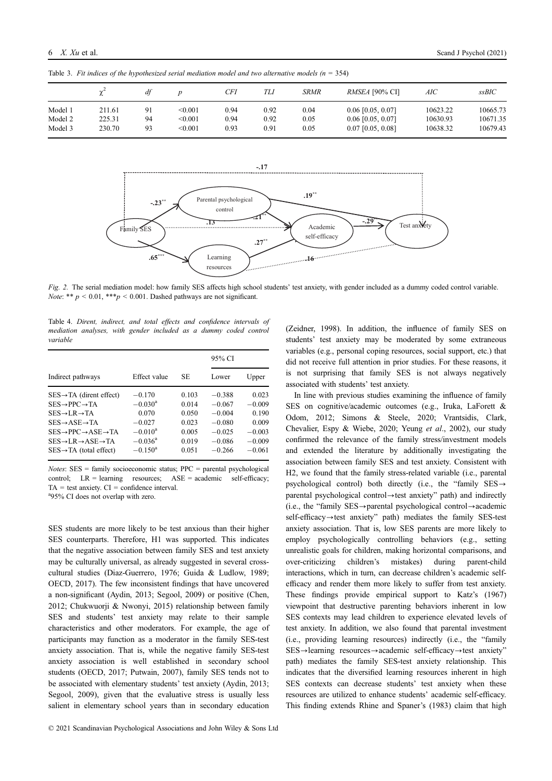|         |        | df |         | CFI  | TLI  | <b>SRMR</b> | <i>RMSEA</i> [90% CI] | AIC      | ssBIC    |
|---------|--------|----|---------|------|------|-------------|-----------------------|----------|----------|
| Model 1 | 211.61 | 91 | < 0.001 | 0.94 | 0.92 | 0.04        | $0.06$ [0.05, 0.07]   | 10623.22 | 10665.73 |
| Model 2 | 225.31 | 94 | < 0.001 | 0.94 | 0.92 | 0.05        | $0.06$ [0.05, 0.07]   | 10630.93 | 10671.35 |
| Model 3 | 230.70 | 93 | < 0.001 | 0.93 | 0.91 | 0.05        | $0.07$ [0.05, 0.08]   | 10638.32 | 10679.43 |

Table 3. Fit indices of the hypothesized serial mediation model and two alternative models  $(n = 354)$ 



Fig. 2. The serial mediation model: how family SES affects high school students' test anxiety, with gender included as a dummy coded control variable. *Note*: \*\*  $p \le 0.01$ , \*\*\* $p \le 0.001$ . Dashed pathways are not significant.

Table 4. Dirent, indirect, and total effects and confidence intervals of mediation analyses, with gender included as a dummy coded control variable

|                                                      |                  |       | 95% CI   |          |
|------------------------------------------------------|------------------|-------|----------|----------|
| Indirect pathways                                    | Effect value     | SE.   | Lower    | Upper    |
| $SES \rightarrow TA$ (dirent effect)                 | $-0.170$         | 0.103 | $-0.388$ | 0.023    |
| $SES \rightarrow PPC \rightarrow TA$                 | $-0.030^{\rm a}$ | 0.014 | $-0.067$ | $-0.009$ |
| $SES \rightarrow LR \rightarrow TA$                  | 0.070            | 0.050 | $-0.004$ | 0.190    |
| $SES \rightarrow ASE \rightarrow TA$                 | $-0.027$         | 0.023 | $-0.080$ | 0.009    |
| $SES \rightarrow PPC \rightarrow ASE \rightarrow TA$ | $-0.010^{\rm a}$ | 0.005 | $-0.025$ | $-0.003$ |
| $SES \rightarrow LR \rightarrow ASE \rightarrow TA$  | $-0.036^{\rm a}$ | 0.019 | $-0.086$ | $-0.009$ |
| $SES \rightarrow TA$ (total effect)                  | $-0.150^{\rm a}$ | 0.051 | $-0.266$ | $-0.061$ |

 $Notes: SES = family socioeconomic status; PPC = parental psychological$ control; LR = learning resources; ASE = academic self-efficacy;  $TA = test$  anxiety.  $CI = confidence$  interval. 95% CI does not overlap with zero.

SES students are more likely to be test anxious than their higher SES counterparts. Therefore, H1 was supported. This indicates that the negative association between family SES and test anxiety may be culturally universal, as already suggested in several crosscultural studies (Diaz-Guerrero, 1976; Guida & Ludlow, 1989; OECD, 2017). The few inconsistent findings that have uncovered a non-significant (Aydin, 2013; Segool, 2009) or positive (Chen, 2012; Chukwuorji & Nwonyi, 2015) relationship between family SES and students' test anxiety may relate to their sample characteristics and other moderators. For example, the age of participants may function as a moderator in the family SES-test anxiety association. That is, while the negative family SES-test anxiety association is well established in secondary school students (OECD, 2017; Putwain, 2007), family SES tends not to be associated with elementary students' test anxiety (Aydin, 2013; Segool, 2009), given that the evaluative stress is usually less salient in elementary school years than in secondary education (Zeidner, 1998). In addition, the influence of family SES on students' test anxiety may be moderated by some extraneous variables (e.g., personal coping resources, social support, etc.) that did not receive full attention in prior studies. For these reasons, it is not surprising that family SES is not always negatively associated with students' test anxiety.

In line with previous studies examining the influence of family SES on cognitive/academic outcomes (e.g., Iruka, LaForett & Odom, 2012; Simons & Steele, 2020; Vrantsidis, Clark, Chevalier, Espy & Wiebe, 2020; Yeung et al., 2002), our study confirmed the relevance of the family stress/investment models and extended the literature by additionally investigating the association between family SES and test anxiety. Consistent with H2, we found that the family stress-related variable (i.e., parental psychological control) both directly (i.e., the "family  $SES \rightarrow$ parental psychological control $\rightarrow$ test anxiety" path) and indirectly (i.e., the "family  $SES \rightarrow$  parental psychological control $\rightarrow$  academic  $self\text{-}efficacy \rightarrow test$  anxiety" path) mediates the family SES-test anxiety association. That is, low SES parents are more likely to employ psychologically controlling behaviors (e.g., setting unrealistic goals for children, making horizontal comparisons, and over-criticizing children's mistakes) during parent-child interactions, which in turn, can decrease children's academic selfefficacy and render them more likely to suffer from test anxiety. These findings provide empirical support to Katz's (1967) viewpoint that destructive parenting behaviors inherent in low SES contexts may lead children to experience elevated levels of test anxiety. In addition, we also found that parental investment (i.e., providing learning resources) indirectly (i.e., the "family  $SES \rightarrow$ learning resources $\rightarrow$ academic self-efficacy $\rightarrow$ test anxiety" path) mediates the family SES-test anxiety relationship. This indicates that the diversified learning resources inherent in high SES contexts can decrease students' test anxiety when these resources are utilized to enhance students' academic self-efficacy. This finding extends Rhine and Spaner's (1983) claim that high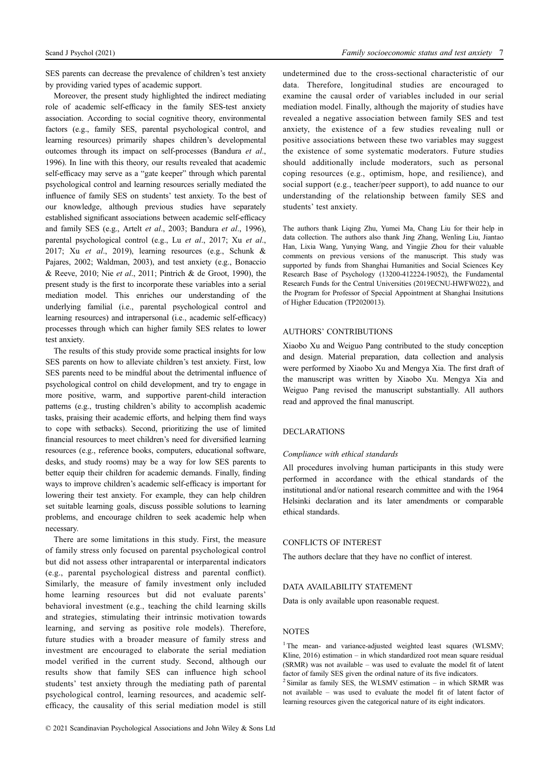SES parents can decrease the prevalence of children's test anxiety by providing varied types of academic support.

Moreover, the present study highlighted the indirect mediating role of academic self-efficacy in the family SES-test anxiety association. According to social cognitive theory, environmental factors (e.g., family SES, parental psychological control, and learning resources) primarily shapes children's developmental outcomes through its impact on self-processes (Bandura et al., 1996). In line with this theory, our results revealed that academic self-efficacy may serve as a "gate keeper" through which parental psychological control and learning resources serially mediated the influence of family SES on students' test anxiety. To the best of our knowledge, although previous studies have separately established significant associations between academic self-efficacy and family SES (e.g., Artelt et al., 2003; Bandura et al., 1996), parental psychological control (e.g., Lu et al., 2017; Xu et al., 2017; Xu et al., 2019), learning resources (e.g., Schunk & Pajares, 2002; Waldman, 2003), and test anxiety (e.g., Bonaccio & Reeve, 2010; Nie et al., 2011; Pintrich & de Groot, 1990), the present study is the first to incorporate these variables into a serial mediation model. This enriches our understanding of the underlying familial (i.e., parental psychological control and learning resources) and intrapersonal (i.e., academic self-efficacy) processes through which can higher family SES relates to lower test anxiety.

The results of this study provide some practical insights for low SES parents on how to alleviate children's test anxiety. First, low SES parents need to be mindful about the detrimental influence of psychological control on child development, and try to engage in more positive, warm, and supportive parent-child interaction patterns (e.g., trusting children's ability to accomplish academic tasks, praising their academic efforts, and helping them find ways to cope with setbacks). Second, prioritizing the use of limited financial resources to meet children's need for diversified learning resources (e.g., reference books, computers, educational software, desks, and study rooms) may be a way for low SES parents to better equip their children for academic demands. Finally, finding ways to improve children's academic self-efficacy is important for lowering their test anxiety. For example, they can help children set suitable learning goals, discuss possible solutions to learning problems, and encourage children to seek academic help when necessary.

There are some limitations in this study. First, the measure of family stress only focused on parental psychological control but did not assess other intraparental or interparental indicators (e.g., parental psychological distress and parental conflict). Similarly, the measure of family investment only included home learning resources but did not evaluate parents' behavioral investment (e.g., teaching the child learning skills and strategies, stimulating their intrinsic motivation towards learning, and serving as positive role models). Therefore, future studies with a broader measure of family stress and investment are encouraged to elaborate the serial mediation model verified in the current study. Second, although our results show that family SES can influence high school students' test anxiety through the mediating path of parental psychological control, learning resources, and academic selfefficacy, the causality of this serial mediation model is still undetermined due to the cross-sectional characteristic of our data. Therefore, longitudinal studies are encouraged to examine the causal order of variables included in our serial mediation model. Finally, although the majority of studies have revealed a negative association between family SES and test anxiety, the existence of a few studies revealing null or positive associations between these two variables may suggest the existence of some systematic moderators. Future studies should additionally include moderators, such as personal coping resources (e.g., optimism, hope, and resilience), and social support (e.g., teacher/peer support), to add nuance to our understanding of the relationship between family SES and students' test anxiety.

The authors thank Liqing Zhu, Yumei Ma, Chang Liu for their help in data collection. The authors also thank Jing Zhang, Wenling Liu, Jiantao Han, Lixia Wang, Yunying Wang, and Yingjie Zhou for their valuable comments on previous versions of the manuscript. This study was supported by funds from Shanghai Humanities and Social Sciences Key Research Base of Psychology (13200-412224-19052), the Fundamental Research Funds for the Central Universities (2019ECNU-HWFW022), and the Program for Professor of Special Appointment at Shanghai Insitutions of Higher Education (TP2020013).

# AUTHORS' CONTRIBUTIONS

Xiaobo Xu and Weiguo Pang contributed to the study conception and design. Material preparation, data collection and analysis were performed by Xiaobo Xu and Mengya Xia. The first draft of the manuscript was written by Xiaobo Xu. Mengya Xia and Weiguo Pang revised the manuscript substantially. All authors read and approved the final manuscript.

# DECLARATIONS

## Compliance with ethical standards

All procedures involving human participants in this study were performed in accordance with the ethical standards of the institutional and/or national research committee and with the 1964 Helsinki declaration and its later amendments or comparable ethical standards.

# CONFLICTS OF INTEREST

The authors declare that they have no conflict of interest.

# DATA AVAILABILITY STATEMENT

Data is only available upon reasonable request.

## NOTES

<sup>1</sup>The mean- and variance-adjusted weighted least squares (WLSMV; Kline, 2016) estimation – in which standardized root mean square residual (SRMR) was not available – was used to evaluate the model fit of latent factor of family SES given the ordinal nature of its five indicators.<br><sup>2</sup> Similar as family SES, the WLSMV estimation – in which SRMR was

not available – was used to evaluate the model fit of latent factor of learning resources given the categorical nature of its eight indicators.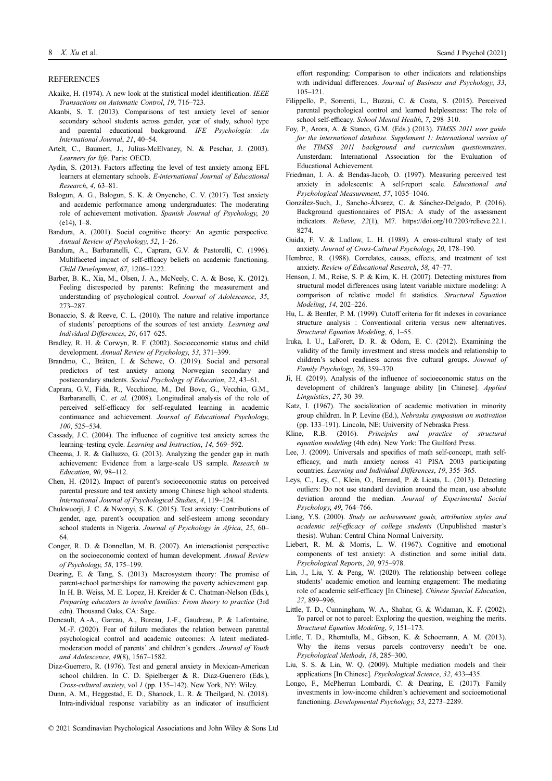#### **REFERENCES**

- Akaike, H. (1974). A new look at the statistical model identification. IEEE Transactions on Automatic Control, 19, 716–723.
- Akanbi, S. T. (2013). Comparisons of test anxiety level of senior secondary school students across gender, year of study, school type and parental educational background. IFE Psychologia: An International Journal, 21, 40–54.
- Artelt, C., Baumert, J., Julius-McElvaney, N. & Peschar, J. (2003). Learners for life. Paris: OECD.
- Aydin, S. (2013). Factors affecting the level of test anxiety among EFL learners at elementary schools. E-international Journal of Educational Research, 4, 63–81.
- Balogun, A. G., Balogun, S. K. & Onyencho, C. V. (2017). Test anxiety and academic performance among undergraduates: The moderating role of achievement motivation. Spanish Journal of Psychology, 20  $(e14), 1-8.$
- Bandura, A. (2001). Social cognitive theory: An agentic perspective. Annual Review of Psychology, 52, 1–26.
- Bandura, A., Barbaranelli, C., Caprara, G.V. & Pastorelli, C. (1996). Multifaceted impact of self-efficacy beliefs on academic functioning. Child Development, 67, 1206–1222.
- Barber, B. K., Xia, M., Olsen, J. A., McNeely, C. A. & Bose, K. (2012). Feeling disrespected by parents: Refining the measurement and understanding of psychological control. Journal of Adolescence, 35, 273–287.
- Bonaccio, S. & Reeve, C. L. (2010). The nature and relative importance of students' perceptions of the sources of test anxiety. Learning and Individual Differences, 20, 617–625.
- Bradley, R. H. & Corwyn, R. F. (2002). Socioeconomic status and child development. Annual Review of Psychology, 53, 371–399.
- Brandmo, C., Bråten, I. & Schewe, O. (2019). Social and personal predictors of test anxiety among Norwegian secondary and postsecondary students. Social Psychology of Education, 22, 43–61.
- Caprara, G.V., Fida, R., Vecchione, M., Del Bove, G., Vecchio, G.M., Barbaranelli, C. et al. (2008). Longitudinal analysis of the role of perceived self-efficacy for self-regulated learning in academic continuance and achievement. Journal of Educational Psychology, 100, 525–534.
- Cassady, J.C. (2004). The influence of cognitive test anxiety across the learning–testing cycle. Learning and Instruction, 14, 569–592.
- Cheema, J. R. & Galluzzo, G. (2013). Analyzing the gender gap in math achievement: Evidence from a large-scale US sample. Research in Education, 90, 98–112.
- Chen, H. (2012). Impact of parent's socioeconomic status on perceived parental pressure and test anxiety among Chinese high school students. International Journal of Psychological Studies, 4, 119–124.
- Chukwuorji, J. C. & Nwonyi, S. K. (2015). Test anxiety: Contributions of gender, age, parent's occupation and self-esteem among secondary school students in Nigeria. Journal of Psychology in Africa, 25, 60– 64.
- Conger, R. D. & Donnellan, M. B. (2007). An interactionist perspective on the socioeconomic context of human development. Annual Review of Psychology, 58, 175–199.
- Dearing, E. & Tang, S. (2013). Macrosystem theory: The promise of parent-school partnerships for narrowing the poverty achievement gap. In H. B. Weiss, M. E. Lopez, H. Kreider & C. Chatman-Nelson (Eds.), Preparing educators to involve families: From theory to practice (3rd edn). Thousand Oaks, CA: Sage.
- Deneault, A.-A., Gareau, A., Bureau, J.-F., Gaudreau, P. & Lafontaine, M.-F. (2020). Fear of failure mediates the relation between parental psychological control and academic outcomes: A latent mediatedmoderation model of parents' and children's genders. Journal of Youth and Adolescence, 49(8), 1567–1582.
- Diaz-Guerrero, R. (1976). Test and general anxiety in Mexican-American school children. In C. D. Spielberger & R. Diaz-Guerrero (Eds.), Cross-cultural anxiety, vol 1 (pp. 135–142). New York, NY: Wiley.
- Dunn, A. M., Heggestad, E. D., Shanock, L. R. & Theilgard, N. (2018). Intra-individual response variability as an indicator of insufficient

effort responding: Comparison to other indicators and relationships with individual differences. Journal of Business and Psychology, 33, 105–121.

- Filippello, P., Sorrenti, L., Buzzai, C. & Costa, S. (2015). Perceived parental psychological control and learned helplessness: The role of school self-efficacy. School Mental Health, 7, 298-310.
- Foy, P., Arora, A. & Stanco, G.M. (Eds.) (2013). TIMSS 2011 user guide for the international database. Supplement 1: International version of the TIMSS 2011 background and curriculum questionnaires. Amsterdam: International Association for the Evaluation of Educational Achievement.
- Friedman, I. A. & Bendas-Jacob, O. (1997). Measuring perceived test anxiety in adolescents: A self-report scale. Educational and Psychological Measurement, 57, 1035–1046.
- González-Such, J., Sancho-Álvarez, C. & Sánchez-Delgado, P. (2016). Background questionnaires of PISA: A study of the assessment indicators. Relieve, 22(1), M7. [https://doi.org/10.7203/relieve.22.1.](https://doi.org/10.7203/relieve.22.1.8274) [8274.](https://doi.org/10.7203/relieve.22.1.8274)
- Guida, F. V. & Ludlow, L. H. (1989). A cross-cultural study of test anxiety. Journal of Cross-Cultural Psychology, 20, 178–190.
- Hembree, R. (1988). Correlates, causes, effects, and treatment of test anxiety. Review of Educational Research, 58, 47–77.
- Henson, J. M., Reise, S. P. & Kim, K. H. (2007). Detecting mixtures from structural model differences using latent variable mixture modeling: A comparison of relative model fit statistics. Structural Equation Modeling, 14, 202–226.
- Hu, L. & Bentler, P. M. (1999). Cutoff criteria for fit indexes in covariance structure analysis : Conventional criteria versus new alternatives. Structural Equation Modeling, 6, 1–55.
- Iruka, I. U., LaForett, D. R. & Odom, E. C. (2012). Examining the validity of the family investment and stress models and relationship to children's school readiness across five cultural groups. Journal of Family Psychology, 26, 359–370.
- Ji, H. (2019). Analysis of the influence of socioeconomic status on the development of children's language ability [in Chinese]. Applied Linguistics, 27, 30–39.
- Katz, I. (1967). The socialization of academic motivation in minority group children. In P. Levine (Ed.), Nebraska symposium on motivation (pp. 133–191). Lincoln, NE: University of Nebraska Press.
- Kline, R.B. (2016). Principles and practice of structural equation modeling (4th edn). New York: The Guilford Press.
- Lee, J. (2009). Universals and specifics of math self-concept, math selfefficacy, and math anxiety across 41 PISA 2003 participating countries. Learning and Individual Differences, 19, 355–365.
- Leys, C., Ley, C., Klein, O., Bernard, P. & Licata, L. (2013). Detecting outliers: Do not use standard deviation around the mean, use absolute deviation around the median. Journal of Experimental Social Psychology, 49, 764–766.
- Liang, Y.S. (2000). Study on achievement goals, attribution styles and academic self-efficacy of college students (Unpublished master's thesis). Wuhan: Central China Normal University.
- Liebert, R. M. & Morris, L. W. (1967). Cognitive and emotional components of test anxiety: A distinction and some initial data. Psychological Reports, 20, 975–978.
- Lin, J., Liu, Y. & Peng, W. (2020). The relationship between college students' academic emotion and learning engagement: The mediating role of academic self-efficacy [In Chinese]. Chinese Special Education, 27, 899–996.
- Little, T. D., Cunningham, W. A., Shahar, G. & Widaman, K. F. (2002). To parcel or not to parcel: Exploring the question, weighing the merits. Structural Equation Modeling, 9, 151–173.
- Little, T. D., Rhemtulla, M., Gibson, K. & Schoemann, A. M. (2013). Why the items versus parcels controversy needn't be one. Psychological Methods, 18, 285–300.
- Liu, S. S. & Lin, W. Q. (2009). Multiple mediation models and their applications [In Chinese]. Psychological Science, 32, 433–435.
- Longo, F., McPherran Lombardi, C. & Dearing, E. (2017). Family investments in low-income children's achievement and socioemotional functioning. Developmental Psychology, 53, 2273–2289.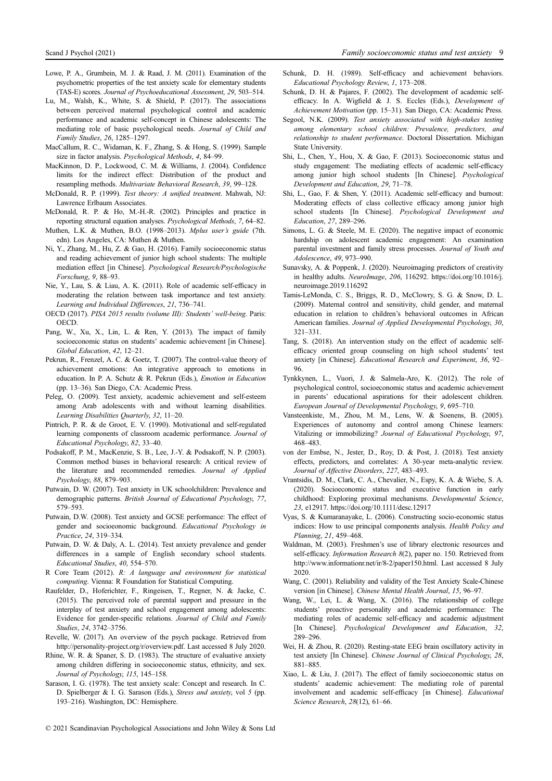- Lowe, P. A., Grumbein, M. J. & Raad, J. M. (2011). Examination of the psychometric properties of the test anxiety scale for elementary students (TAS-E) scores. Journal of Psychoeducational Assessment, 29, 503–514.
- Lu, M., Walsh, K., White, S. & Shield, P. (2017). The associations between perceived maternal psychological control and academic performance and academic self-concept in Chinese adolescents: The mediating role of basic psychological needs. Journal of Child and Family Studies, 26, 1285–1297.
- MacCallum, R. C., Widaman, K. F., Zhang, S. & Hong, S. (1999). Sample size in factor analysis. Psychological Methods, 4, 84–99.
- MacKinnon, D. P., Lockwood, C. M. & Williams, J. (2004). Confidence limits for the indirect effect: Distribution of the product and resampling methods. Multivariate Behavioral Research, 39, 99–128.
- McDonald, R. P. (1999). Test theory: A unified treatment. Mahwah, NJ: Lawrence Erlbaum Associates.
- McDonald, R. P. & Ho, M.-H.-R. (2002). Principles and practice in reporting structural equation analyses. Psychological Methods, 7, 64–82.
- Muthen, L.K. & Muthen, B.O. (1998–2013). Mplus user's guide (7th. edn). Los Angeles, CA: Muthen & Muthen.
- Ni, Y., Zhang, M., Hu, Z. & Gao, H. (2016). Family socioeconomic status and reading achievement of junior high school students: The multiple mediation effect [in Chinese]. Psychological Research/Psychologische Forschung, 9, 88–93.
- Nie, Y., Lau, S. & Liau, A. K. (2011). Role of academic self-efficacy in moderating the relation between task importance and test anxiety. Learning and Individual Differences, 21, 736–741.
- OECD (2017). PISA 2015 results (volume III): Students' well-being. Paris: OECD.
- Pang, W., Xu, X., Lin, L. & Ren, Y. (2013). The impact of family socioeconomic status on students' academic achievement [in Chinese]. Global Education, 42, 12–21.
- Pekrun, R., Frenzel, A. C. & Goetz, T. (2007). The control-value theory of achievement emotions: An integrative approach to emotions in education. In P. A. Schutz & R. Pekrun (Eds.), Emotion in Education (pp. 13–36). San Diego, CA: Academic Press.
- Peleg, O. (2009). Test anxiety, academic achievement and self-esteem among Arab adolescents with and without learning disabilities. Learning Disabilities Quarterly, 32, 11–20.
- Pintrich, P. R. & de Groot, E. V. (1990). Motivational and self-regulated learning components of classroom academic performance. Journal of Educational Psychology, 82, 33–40.
- Podsakoff, P. M., MacKenzie, S. B., Lee, J.-Y. & Podsakoff, N. P. (2003). Common method biases in behavioral research: A critical review of the literature and recommended remedies. Journal of Applied Psychology, 88, 879–903.
- Putwain, D. W. (2007). Test anxiety in UK schoolchildren: Prevalence and demographic patterns. British Journal of Educational Psychology, 77, 579–593.
- Putwain, D.W. (2008). Test anxiety and GCSE performance: The effect of gender and socioeonomic background. Educational Psychology in Practice, 24, 319–334.
- Putwain, D. W. & Daly, A. L. (2014). Test anxiety prevalence and gender differences in a sample of English secondary school students. Educational Studies, 40, 554–570.
- R Core Team (2012). R: A language and environment for statistical computing. Vienna: R Foundation for Statistical Computing.
- Raufelder, D., Hoferichter, F., Ringeisen, T., Regner, N. & Jacke, C. (2015). The perceived role of parental support and pressure in the interplay of test anxiety and school engagement among adolescents: Evidence for gender-specific relations. Journal of Child and Family Studies, 24, 3742–3756.
- Revelle, W. (2017). An overview of the psych package. Retrieved from [http://personality-project.org/r/overview.pdf.](http://personality-project.org/r/overview.pdf) Last accessed 8 July 2020.
- Rhine, W. R. & Spaner, S. D. (1983). The structure of evaluative anxiety among children differing in socioeconomic status, ethnicity, and sex. Journal of Psychology, 115, 145–158.
- Sarason, I. G. (1978). The test anxiety scale: Concept and research. In C. D. Spielberger & I. G. Sarason (Eds.), Stress and anxiety, vol 5 (pp. 193–216). Washington, DC: Hemisphere.
- Schunk, D. H. (1989). Self-efficacy and achievement behaviors. Educational Psychology Review, 1, 173–208.
- Schunk, D. H. & Pajares, F. (2002). The development of academic selfefficacy. In A. Wigfield & J. S. Eccles (Eds.), Development of Achievement Motivation (pp. 15–31). San Diego, CA: Academic Press.
- Segool, N.K. (2009). Test anxiety associated with high-stakes testing among elementary school children: Prevalence, predictors, and relationship to student performance. Doctoral Dissertation. Michigan State University.
- Shi, L., Chen, Y., Hou, X. & Gao, F. (2013). Socioeconomic status and study engagement: The mediating effects of academic self-efficacy among junior high school students [In Chinese]. Psychological Development and Education, 29, 71–78.
- Shi, L., Gao, F. & Shen, Y. (2011). Academic self-efficacy and burnout: Moderating effects of class collective efficacy among junior high school students [In Chinese]. Psychological Development and Education, 27, 289–296.
- Simons, L. G. & Steele, M. E. (2020). The negative impact of economic hardship on adolescent academic engagement: An examination parental investment and family stress processes. Journal of Youth and Adolescence, 49, 973–990.
- Sunavsky, A. & Poppenk, J. (2020). Neuroimaging predictors of creativity in healthy adults. NeuroImage, 206, 116292. [https://doi.org/10.1016/j.](https://doi.org/10.1016/j.neuroimage.2019.116292) [neuroimage.2019.116292](https://doi.org/10.1016/j.neuroimage.2019.116292)
- Tamis-LeMonda, C. S., Briggs, R. D., McClowry, S. G. & Snow, D. L. (2009). Maternal control and sensitivity, child gender, and maternal education in relation to children's behavioral outcomes in African American families. Journal of Applied Developmental Psychology, 30, 321–331.
- Tang, S. (2018). An intervention study on the effect of academic selfefficacy oriented group counseling on high school students' test anxiety [in Chinese]. Educational Research and Experiment, 36, 92– 96.
- Tynkkynen, L., Vuori, J. & Salmela-Aro, K. (2012). The role of psychological control, socioeconomic status and academic achievement in parents' educational aspirations for their adolescent children. European Journal of Developmental Psychology, 9, 695–710.
- Vansteenkiste, M., Zhou, M. M., Lens, W. & Soenens, B. (2005). Experiences of autonomy and control among Chinese learners: Vitalizing or immobilizing? Journal of Educational Psychology, 97, 468–483.
- von der Embse, N., Jester, D., Roy, D. & Post, J. (2018). Test anxiety effects, predictors, and correlates: A 30-year meta-analytic review. Journal of Affective Disorders, 227, 483–493.
- Vrantsidis, D. M., Clark, C. A., Chevalier, N., Espy, K. A. & Wiebe, S. A. (2020). Socioeconomic status and executive function in early childhood: Exploring proximal mechanisms. Developmental Science, 23, e12917.<https://doi.org/10.1111/desc.12917>
- Vyas, S. & Kumaranayake, L. (2006). Constructing socio-economic status indices: How to use principal components analysis. Health Policy and Planning, 21, 459–468.
- Waldman, M. (2003). Freshmen's use of library electronic resources and self-efficacy. Information Research 8(2), paper no. 150. Retrieved from [http://www.informationr.net/ir/8-2/paper150.html.](http://www.informationr.net/ir/8-2/paper150.html) Last accessed 8 July 2020.
- Wang, C. (2001). Reliability and validity of the Test Anxiety Scale-Chinese version [in Chinese]. Chinese Mental Health Journal, 15, 96–97.
- Wang, W., Lei, L. & Wang, X. (2016). The relationship of college students' proactive personality and academic performance: The mediating roles of academic self-efficacy and academic adjustment [In Chinese]. *Psychological Development and Education*, 32, 289–296.
- Wei, H. & Zhou, R. (2020). Resting-state EEG brain oscillatory activity in test anxiety [In Chinese]. Chinese Journal of Clinical Psychology, 28, 881–885.
- Xiao, L. & Liu, J. (2017). The effect of family socioeconomic status on students' academic achievement: The mediating role of parental involvement and academic self-efficacy [in Chinese]. Educational Science Research, 28(12), 61–66.